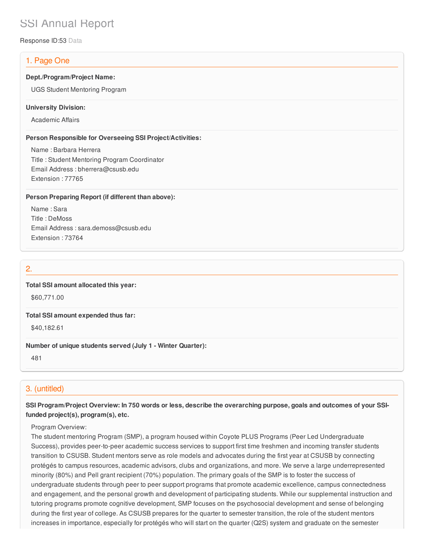# SSI Annual Report

Response ID:53 Data

# 1. Page One

## **Dept./Program/Project Name:**

UGS Student Mentoring Program

#### **University Division:**

Academic Affairs

## **Person Responsible for Overseeing SSI Project/Activities:**

Name : Barbara Herrera Title : Student Mentoring Program Coordinator Email Address : bherrera@csusb.edu Extension : 77765

## **Person Preparing Report (if different than above):**

Name : Sara Title : DeMoss Email Address : sara.demoss@csusb.edu Extension : 73764

# 2.

## **Total SSI amount allocated this year:**

\$60,771.00

#### **Total SSI amount expended thus far:**

\$40,182.61

## **Number of unique students served (July 1 - Winter Quarter):**

481

# 3. (untitled)

# SSI Program/Project Overview: In 750 words or less, describe the overarching purpose, goals and outcomes of your SSI**funded project(s), program(s), etc.**

## Program Overview:

The student mentoring Program (SMP), a program housed within Coyote PLUS Programs (Peer Led Undergraduate Success), provides peer-to-peer academic success services to support first time freshmen and incoming transfer students transition to CSUSB. Student mentors serve as role models and advocates during the first year at CSUSB by connecting protégés to campus resources, academic advisors, clubs and organizations, and more. We serve a large underrepresented minority (80%) and Pell grant recipient (70%) population. The primary goals of the SMP is to foster the success of undergraduate students through peer to peer support programs that promote academic excellence, campus connectedness and engagement, and the personal growth and development of participating students. While our supplemental instruction and tutoring programs promote cognitive development, SMP focuses on the psychosocial development and sense of belonging during the first year of college. As CSUSB prepares for the quarter to semester transition, the role of the student mentors increases in importance, especially for protégés who will start on the quarter (Q2S) system and graduate on the semester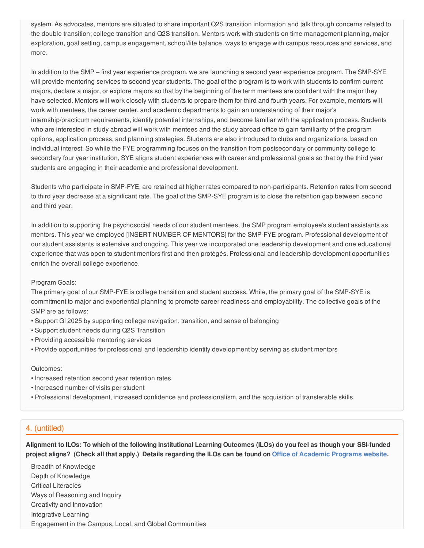system. As advocates, mentors are situated to share important Q2S transition information and talk through concerns related to the double transition; college transition and Q2S transition. Mentors work with students on time management planning, major exploration, goal setting, campus engagement, school/life balance, ways to engage with campus resources and services, and more.

In addition to the SMP – first year experience program, we are launching a second year experience program. The SMP-SYE will provide mentoring services to second year students. The goal of the program is to work with students to confirm current majors, declare a major, or explore majors so that by the beginning of the term mentees are confident with the major they have selected. Mentors will work closely with students to prepare them for third and fourth years. For example, mentors will work with mentees, the career center, and academic departments to gain an understanding of their major's internship/practicum requirements, identify potential internships, and become familiar with the application process. Students who are interested in study abroad will work with mentees and the study abroad office to gain familiarity of the program options, application process, and planning strategies. Students are also introduced to clubs and organizations, based on individual interest. So while the FYE programming focuses on the transition from postsecondary or community college to secondary four year institution, SYE aligns student experiences with career and professional goals so that by the third year students are engaging in their academic and professional development.

Students who participate in SMP-FYE, are retained at higher rates compared to non-participants. Retention rates from second to third year decrease at a significant rate. The goal of the SMP-SYE program is to close the retention gap between second and third year.

In addition to supporting the psychosocial needs of our student mentees, the SMP program employee's student assistants as mentors. This year we employed [INSERT NUMBER OF MENTORS] for the SMP-FYE program. Professional development of our student assistants is extensive and ongoing. This year we incorporated one leadership development and one educational experience that was open to student mentors first and then protégés. Professional and leadership development opportunities enrich the overall college experience.

## Program Goals:

The primary goal of our SMP-FYE is college transition and student success. While, the primary goal of the SMP-SYE is commitment to major and experiential planning to promote career readiness and employability. The collective goals of the SMP are as follows:

- Support GI 2025 by supporting college navigation, transition, and sense of belonging
- Support student needs during Q2S Transition
- Providing accessible mentoring services
- Provide opportunities for professional and leadership identity development by serving as student mentors

#### Outcomes:

- Increased retention second year retention rates
- Increased number of visits per student
- Professional development, increased confidence and professionalism, and the acquisition of transferable skills

# 4. (untitled)

Alignment to ILOs: To which of the following Institutional Learning Outcomes (ILOs) do you feel as though your SSI-funded project aligns? (Check all that apply.) Details regarding the ILOs can be found on Office of [Academic](https://www.csusb.edu/sites/csusb/files/CSUSB_Institutional_Learning_Outcomes-Endorsed.pdf) Programs website.

Breadth of Knowledge Depth of Knowledge Critical Literacies Ways of Reasoning and Inquiry Creativity and Innovation Integrative Learning Engagement in the Campus, Local, and Global Communities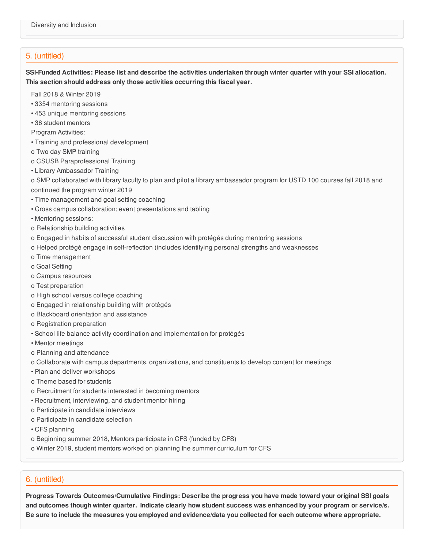# 5. (untitled)

SSI-Funded Activities: Please list and describe the activities undertaken through winter quarter with your SSI allocation. **This section should address only those activities occurring this fiscal year.**

Fall 2018 & Winter 2019

- 3354 mentoring sessions
- 453 unique mentoring sessions
- 36 student mentors
- Program Activities:
- Training and professional development
- o Two day SMP training
- o CSUSB Paraprofessional Training
- Library Ambassador Training

o SMP collaborated with library faculty to plan and pilot a library ambassador program for USTD 100 courses fall 2018 and continued the program winter 2019

- Time management and goal setting coaching
- Cross campus collaboration; event presentations and tabling
- Mentoring sessions:
- o Relationship building activities
- o Engaged in habits of successful student discussion with protégés during mentoring sessions
- o Helped protégé engage in self-reflection (includes identifying personal strengths and weaknesses
- o Time management
- o Goal Setting
- o Campus resources
- o Test preparation
- o High school versus college coaching
- o Engaged in relationship building with protégés
- o Blackboard orientation and assistance
- o Registration preparation
- School life balance activity coordination and implementation for protégés
- Mentor meetings
- o Planning and attendance
- o Collaborate with campus departments, organizations, and constituents to develop content for meetings
- Plan and deliver workshops
- o Theme based for students
- o Recruitment for students interested in becoming mentors
- Recruitment, interviewing, and student mentor hiring
- o Participate in candidate interviews
- o Participate in candidate selection
- CFS planning
- o Beginning summer 2018, Mentors participate in CFS (funded by CFS)
- o Winter 2019, student mentors worked on planning the summer curriculum for CFS

# 6. (untitled)

**Progress Towards Outcomes/Cumulative Findings: Describe the progress you have made toward your original SSI goals** and outcomes though winter quarter. Indicate clearly how student success was enhanced by your program or service/s. Be sure to include the measures you employed and evidence/data you collected for each outcome where appropriate.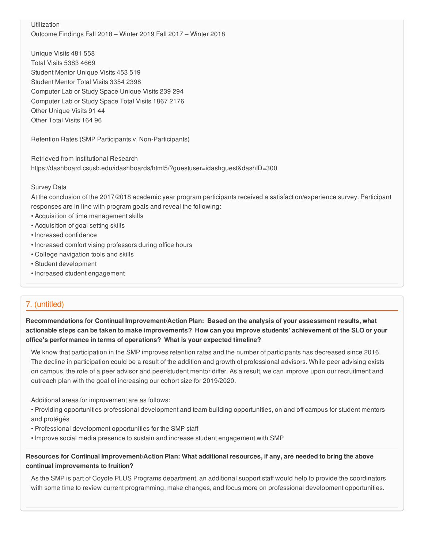Utilization Outcome Findings Fall 2018 – Winter 2019 Fall 2017 – Winter 2018

Unique Visits 481 558 Total Visits 5383 4669 Student Mentor Unique Visits 453 519 Student Mentor Total Visits 3354 2398 Computer Lab or Study Space Unique Visits 239 294 Computer Lab or Study Space Total Visits 1867 2176 Other Unique Visits 91 44 Other Total Visits 164 96

Retention Rates (SMP Participants v. Non-Participants)

Retrieved from Institutional Research https://dashboard.csusb.edu/idashboards/html5/?guestuser=idashguest&dashID=300

## Survey Data

At the conclusion of the 2017/2018 academic year program participants received a satisfaction/experience survey. Participant responses are in line with program goals and reveal the following:

- Acquisition of time management skills
- Acquisition of goal setting skills
- Increased confidence
- Increased comfort vising professors during office hours
- College navigation tools and skills
- Student development
- Increased student engagement

# 7. (untitled)

**Recommendations for Continual Improvement/Action Plan: Based on the analysis of your assessment results, what** actionable steps can be taken to make improvements? How can you improve students' achievement of the SLO or your **office's performance in terms of operations? What is your expected timeline?**

We know that participation in the SMP improves retention rates and the number of participants has decreased since 2016. The decline in participation could be a result of the addition and growth of professional advisors. While peer advising exists on campus, the role of a peer advisor and peer/student mentor differ. As a result, we can improve upon our recruitment and outreach plan with the goal of increasing our cohort size for 2019/2020.

Additional areas for improvement are as follows:

• Providing opportunities professional development and team building opportunities, on and off campus for student mentors and protégés

- Professional development opportunities for the SMP staff
- Improve social media presence to sustain and increase student engagement with SMP

# Resources for Continual Improvement/Action Plan: What additional resources, if any, are needed to bring the above **continual improvements to fruition?**

As the SMP is part of Coyote PLUS Programs department, an additional support staff would help to provide the coordinators with some time to review current programming, make changes, and focus more on professional development opportunities.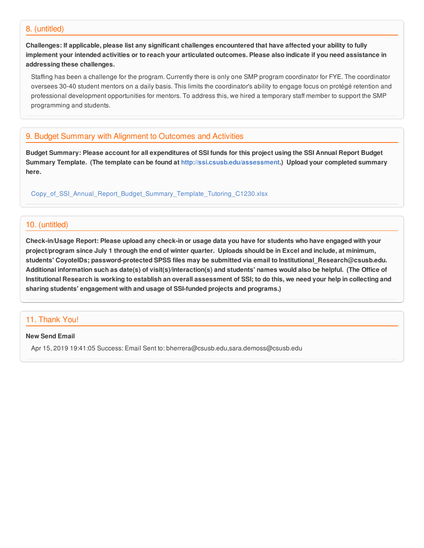## 8. (untitled)

Challenges: If applicable, please list any significant challenges encountered that have affected your ability to fully implement your intended activities or to reach your articulated outcomes. Please also indicate if you need assistance in **addressing these challenges.**

Staffing has been a challenge for the program. Currently there is only one SMP program coordinator for FYE. The coordinator oversees 30-40 student mentors on a daily basis. This limits the coordinator's ability to engage focus on protégé retention and professional development opportunities for mentors. To address this, we hired a temporary staff member to support the SMP programming and students.

# 9. Budget Summary with Alignment to Outcomes and Activities

Budget Summary: Please account for all expenditures of SSI funds for this project using the SSI Annual Report Budget **Summary Template. (The template can be found at <http://ssi.csusb.edu/assessment>.) Upload your completed summary here.**

[Copy\\_of\\_SSI\\_Annual\\_Report\\_Budget\\_Summary\\_Template\\_Tutoring\\_C1230.xlsx](https://surveygizmoresponseuploads.s3.amazonaws.com/fileuploads/98679/3939151/184-90634f240134486a9c8531981060ab3e_Copy_of_SSI_Annual_Report_Budget_Summary_Template_Tutoring_C1230.xlsx)

# 10. (untitled)

Check-in/Usage Report: Please upload any check-in or usage data you have for students who have engaged with your project/program since July 1 through the end of winter quarter. Uploads should be in Excel and include, at minimum, **students' CoyoteIDs; password-protected SPSS files may be submitted via email to Institutional\_Research@csusb.edu.** Additional information such as date(s) of visit(s)/interaction(s) and students' names would also be helpful. (The Office of Institutional Research is working to establish an overall assessment of SSI; to do this, we need your help in collecting and **sharing students' engagement with and usage of SSI-funded projects and programs.)**

# 11. Thank You!

## **New Send Email**

Apr 15, 2019 19:41:05 Success: Email Sent to: bherrera@csusb.edu,sara.demoss@csusb.edu